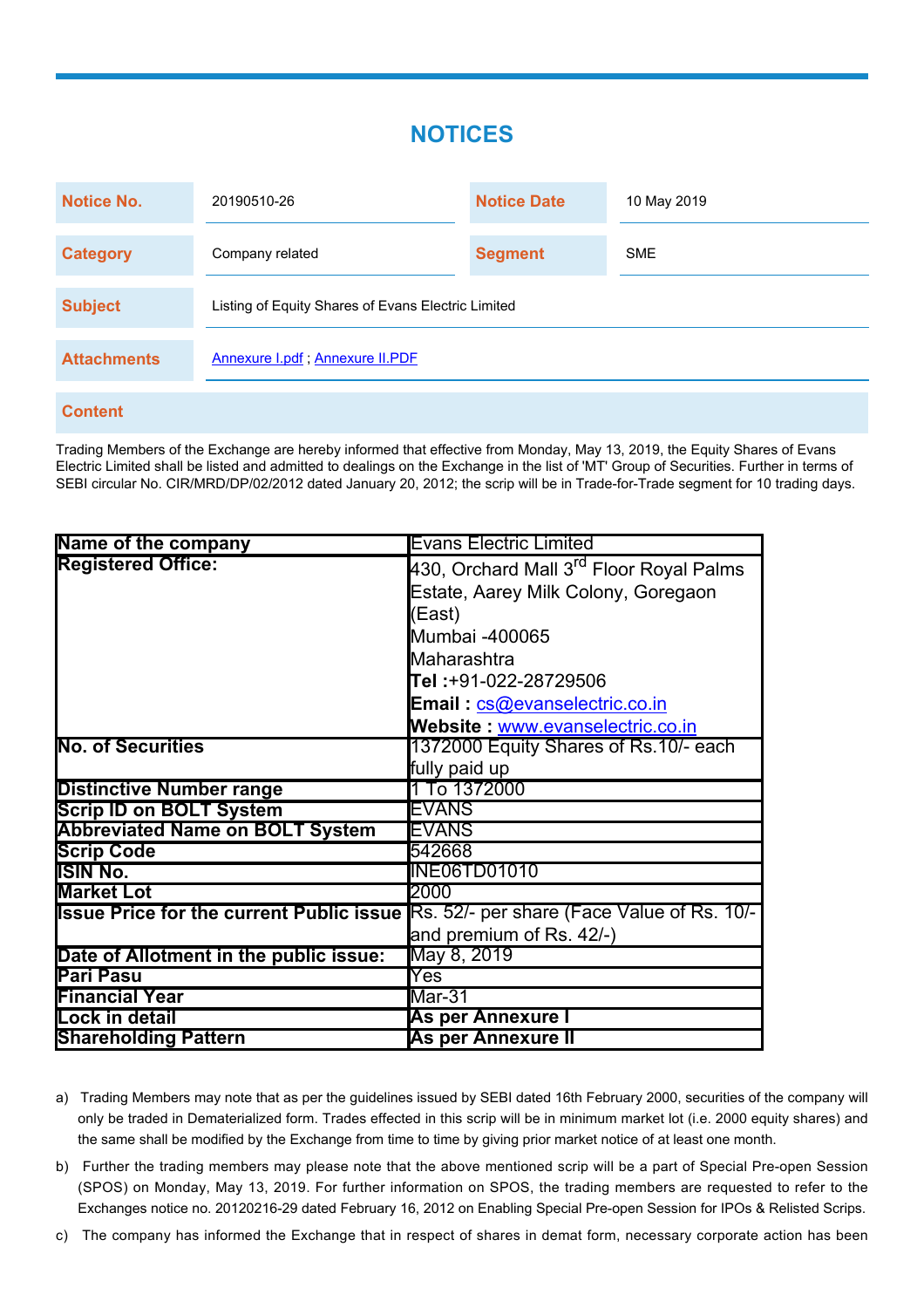## **NOTICES**

| <b>Notice No.</b>  | 20190510-26                                        | <b>Notice Date</b> | 10 May 2019 |
|--------------------|----------------------------------------------------|--------------------|-------------|
| <b>Category</b>    | Company related                                    | <b>Segment</b>     | <b>SME</b>  |
| <b>Subject</b>     | Listing of Equity Shares of Evans Electric Limited |                    |             |
| <b>Attachments</b> | Annexure I.pdf; Annexure II.PDF                    |                    |             |
| <b>Content</b>     |                                                    |                    |             |

Trading Members of the Exchange are hereby informed that effective from Monday, May 13, 2019, the Equity Shares of Evans Electric Limited shall be listed and admitted to dealings on the Exchange in the list of 'MT' Group of Securities. Further in terms of SEBI circular No. CIR/MRD/DP/02/2012 dated January 20, 2012; the scrip will be in Trade-for-Trade segment for 10 trading days.

| Name of the company                    | <b>Evans Electric Limited</b>                                                               |  |
|----------------------------------------|---------------------------------------------------------------------------------------------|--|
| <b>Registered Office:</b>              | 430, Orchard Mall 3 <sup>rd</sup> Floor Royal Palms                                         |  |
|                                        | Estate, Aarey Milk Colony, Goregaon                                                         |  |
|                                        | (East)                                                                                      |  |
|                                        | Mumbai -400065                                                                              |  |
|                                        | <b>l</b> Maharashtra                                                                        |  |
|                                        | Tel :+91-022-28729506                                                                       |  |
|                                        | Email: cs@evanselectric.co.in                                                               |  |
|                                        | Website: www.evanselectric.co.in                                                            |  |
| <b>No. of Securities</b>               | 1372000 Equity Shares of Rs.10/- each                                                       |  |
|                                        | fully paid up                                                                               |  |
| <b>Distinctive Number range</b>        | 1 To 1372000                                                                                |  |
| <b>Scrip ID on BOLT System</b>         | EVANS                                                                                       |  |
| <b>Abbreviated Name on BOLT System</b> | EVANS                                                                                       |  |
| <b>Scrip Code</b>                      | 542668                                                                                      |  |
| <b>ISIN No.</b>                        | <b>INE06TD01010</b>                                                                         |  |
| <b>Market Lot</b>                      | 2000                                                                                        |  |
|                                        | <b>Issue Price for the current Public issue Rs. 52/- per share (Face Value of Rs. 10/-)</b> |  |
|                                        | and premium of Rs. 42/-)                                                                    |  |
| Date of Allotment in the public issue: | May 8, 2019                                                                                 |  |
| <b>Pari Pasu</b>                       | $\overline{\text{Yes}}$                                                                     |  |
| <b>Financial Year</b>                  | Mar-31                                                                                      |  |
| Lock in detail                         | As per Annexure I                                                                           |  |
| <b>Shareholding Pattern</b>            | <b>As per Annexure II</b>                                                                   |  |

- a) Trading Members may note that as per the guidelines issued by SEBI dated 16th February 2000, securities of the company will only be traded in Dematerialized form. Trades effected in this scrip will be in minimum market lot (i.e. 2000 equity shares) and the same shall be modified by the Exchange from time to time by giving prior market notice of at least one month.
- b) Further the trading members may please note that the above mentioned scrip will be a part of Special Pre-open Session (SPOS) on Monday, May 13, 2019. For further information on SPOS, the trading members are requested to refer to the Exchanges notice no. 20120216-29 dated February 16, 2012 on Enabling Special Pre-open Session for IPOs & Relisted Scrips.

c) The company has informed the Exchange that in respect of shares in demat form, necessary corporate action has been